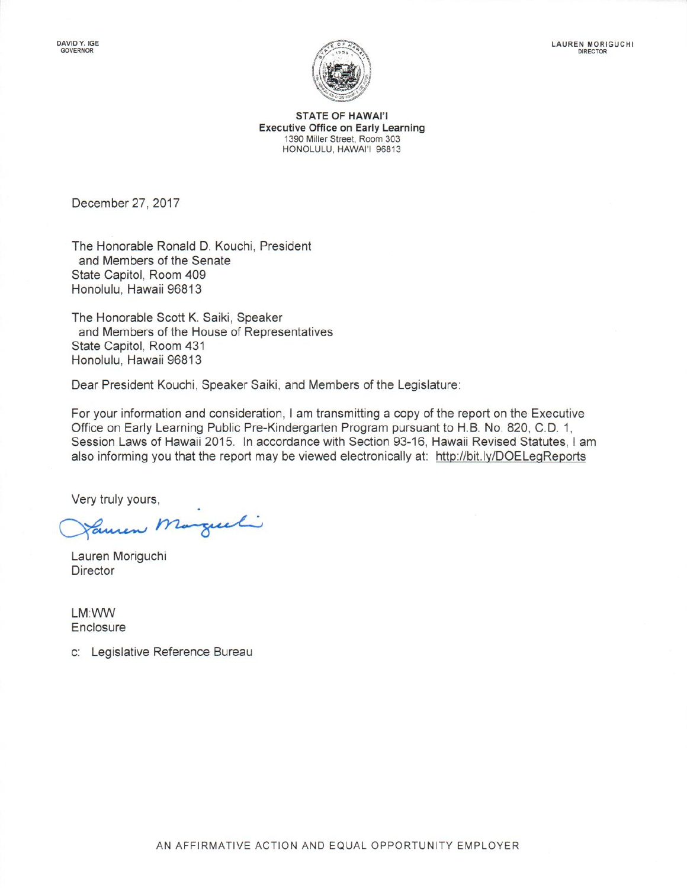

**STATE OF HAWAI'I Executive Office on Early Learning** 1390 Miller Street, Room 303 HONOLULU, HAWAI'I 96813

December 27, 2017

The Honorable Ronald D. Kouchi, President and Members of the Senate State Capitol, Room 409 Honolulu, Hawaii 96813

The Honorable Scott K. Saiki, Speaker and Members of the House of Representatives State Capitol, Room 431 Honolulu, Hawaii 96813

Dear President Kouchi, Speaker Saiki, and Members of the Legislature:

For your information and consideration, I am transmitting a copy of the report on the Executive Office on Early Learning Public Pre-Kindergarten Program pursuant to H.B. No. 820, C.D. 1, Session Laws of Hawaii 2015. In accordance with Section 93-16, Hawaii Revised Statutes, I am also informing you that the report may be viewed electronically at: http://bit.ly/DOELegReports

Very truly yours,

Cancer Margueli

Lauren Moriguchi **Director** 

LM:WW Enclosure

c: Legislative Reference Bureau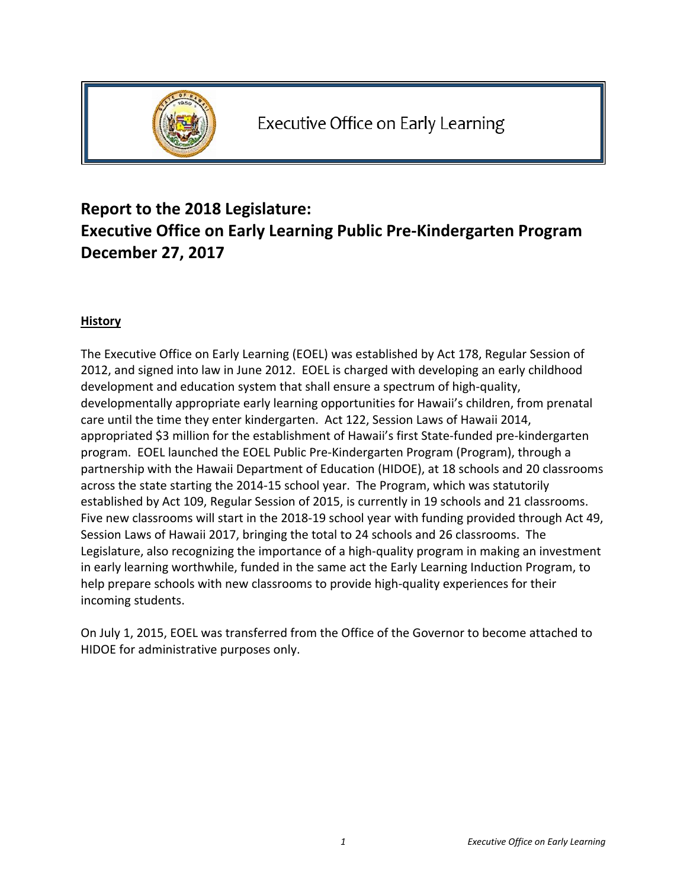

# **Report to the 2018 Legislature: Executive Office on Early Learning Public Pre‐Kindergarten Program December 27, 2017**

## **History**

The Executive Office on Early Learning (EOEL) was established by Act 178, Regular Session of 2012, and signed into law in June 2012. EOEL is charged with developing an early childhood development and education system that shall ensure a spectrum of high-quality, developmentally appropriate early learning opportunities for Hawaii's children, from prenatal care until the time they enter kindergarten. Act 122, Session Laws of Hawaii 2014, appropriated \$3 million for the establishment of Hawaii's first State‐funded pre‐kindergarten program. EOEL launched the EOEL Public Pre‐Kindergarten Program (Program), through a partnership with the Hawaii Department of Education (HIDOE), at 18 schools and 20 classrooms across the state starting the 2014‐15 school year. The Program, which was statutorily established by Act 109, Regular Session of 2015, is currently in 19 schools and 21 classrooms. Five new classrooms will start in the 2018‐19 school year with funding provided through Act 49, Session Laws of Hawaii 2017, bringing the total to 24 schools and 26 classrooms. The Legislature, also recognizing the importance of a high-quality program in making an investment in early learning worthwhile, funded in the same act the Early Learning Induction Program, to help prepare schools with new classrooms to provide high-quality experiences for their incoming students.

On July 1, 2015, EOEL was transferred from the Office of the Governor to become attached to HIDOE for administrative purposes only.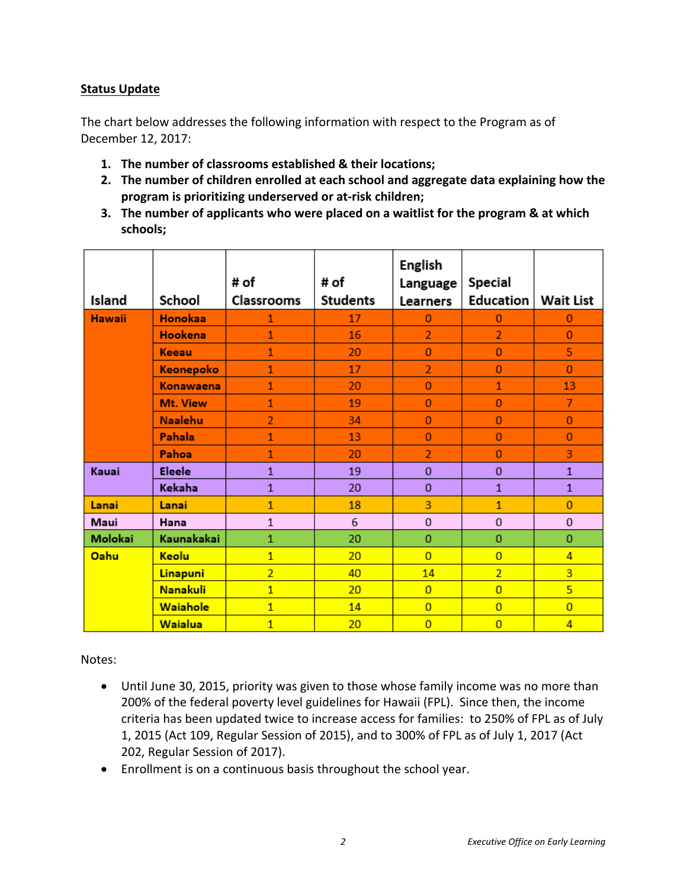### **Status Update**

The chart below addresses the following information with respect to the Program as of December 12, 2017:

- **1. The number of classrooms established & their locations;**
- **2. The number of children enrolled at each school and aggregate data explaining how the program is prioritizing underserved or at‐risk children;**
- **3. The number of applicants who were placed on a waitlist for the program & at which schools;**

|               |                | # of           | # of            | English<br>Language | Special        |                  |
|---------------|----------------|----------------|-----------------|---------------------|----------------|------------------|
| Island        | School         | Classrooms     | <b>Students</b> | <b>Learners</b>     | Education      | <b>Wait List</b> |
| <b>Hawaii</b> | <b>Honokaa</b> | 1              | 17              | $\Omega$            | $\Omega$       | $\Omega$         |
|               | <b>Hookena</b> | $\mathbf{1}$   | 16              | $\overline{2}$      | $\overline{2}$ | $\bf{0}$         |
|               | Keeau          | $\mathbf{1}$   | 20              | $\mathbf{0}$        | $\mathbf{0}$   | 5                |
|               | Keonepoko      | $\mathbf{1}$   | 17              | $\overline{2}$      | $\Omega$       | $\Omega$         |
|               | Konawaena      | $\mathbf{1}$   | 20              | 0                   | $\mathbf{1}$   | 13               |
|               | Mt. View       | $\mathbf{1}$   | 19              | $\bf{0}$            | $\bf{0}$       | $\overline{7}$   |
|               | <b>Naalehu</b> | $\overline{2}$ | 34              | $\mathbf{0}$        | $\overline{0}$ | $\mathbf{0}$     |
|               | Pahala         | $\mathbf{1}$   | 13              | $\mathbf{0}$        | $\Omega$       | $\Omega$         |
|               | Pahoa          | $\mathbf{1}$   | 20              | $\overline{2}$      | $\bf{0}$       | 3                |
| Kauai         | <b>Eleele</b>  | $\mathbf{1}$   | 19              | $\mathbf{0}$        | $\mathbf{0}$   | $\mathbf{1}$     |
|               | Kekaha         | $\mathbf{1}$   | 20              | $\mathbf 0$         | $\mathbf{1}$   | $\mathbf{1}$     |
| Lanai         | Lanai          | $\mathbf{1}$   | 18              | 3                   | $\mathbf{1}$   | $\bf{0}$         |
| Maui          | Hana           | $\mathbf{1}$   | 6               | $\mathbf{0}$        | $\mathbf{0}$   | $\mathbf 0$      |
| Molokai       | Kaunakakai     | $\mathbf{1}$   | 20              | 0                   | $\mathbf{0}$   | $\mathbf 0$      |
| Oahu          | Keolu          | $\overline{1}$ | 20              | $\overline{0}$      | $\overline{0}$ | $\overline{4}$   |
|               | Linapuni       | $\overline{2}$ | 40              | 14                  | $\overline{2}$ | 3                |
|               | Nanakuli       | $\overline{1}$ | 20              | $\overline{0}$      | $\overline{0}$ | 5                |
|               | Waiahole       | $\overline{1}$ | 14              | $\overline{0}$      | $\overline{0}$ | $\overline{0}$   |
|               | Waialua        | $\mathbf{1}$   | 20              | $\overline{0}$      | $\overline{0}$ | $\overline{4}$   |

Notes:

- Until June 30, 2015, priority was given to those whose family income was no more than 200% of the federal poverty level guidelines for Hawaii (FPL). Since then, the income criteria has been updated twice to increase access for families: to 250% of FPL as of July 1, 2015 (Act 109, Regular Session of 2015), and to 300% of FPL as of July 1, 2017 (Act 202, Regular Session of 2017).
- Enrollment is on a continuous basis throughout the school year.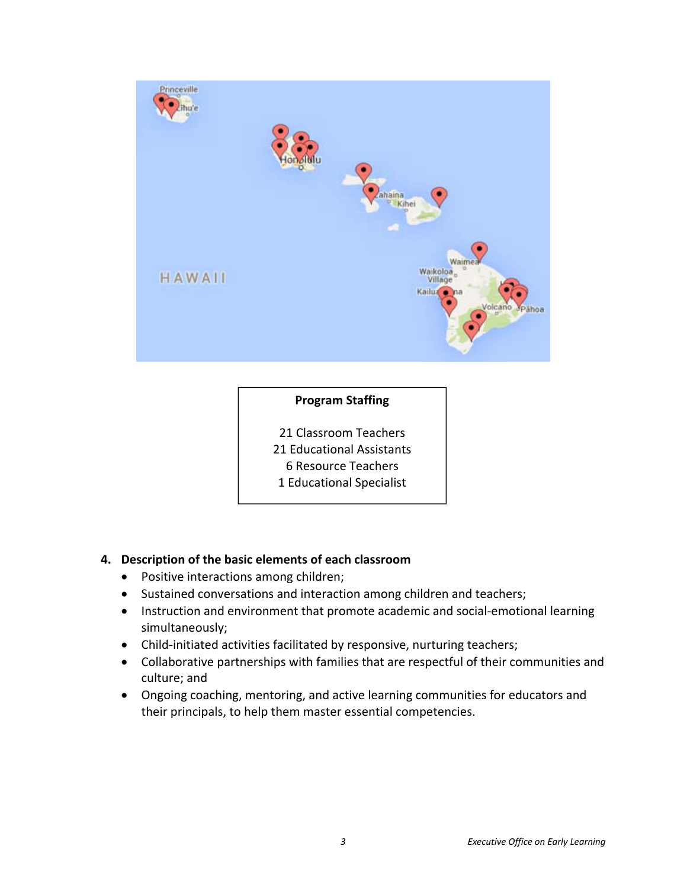

### **Program Staffing**

 Classroom Teachers Educational Assistants Resource Teachers Educational Specialist

### **4. Description of the basic elements of each classroom**

- Positive interactions among children;
- Sustained conversations and interaction among children and teachers;
- Instruction and environment that promote academic and social-emotional learning simultaneously;
- Child-initiated activities facilitated by responsive, nurturing teachers;
- Collaborative partnerships with families that are respectful of their communities and culture; and
- Ongoing coaching, mentoring, and active learning communities for educators and their principals, to help them master essential competencies.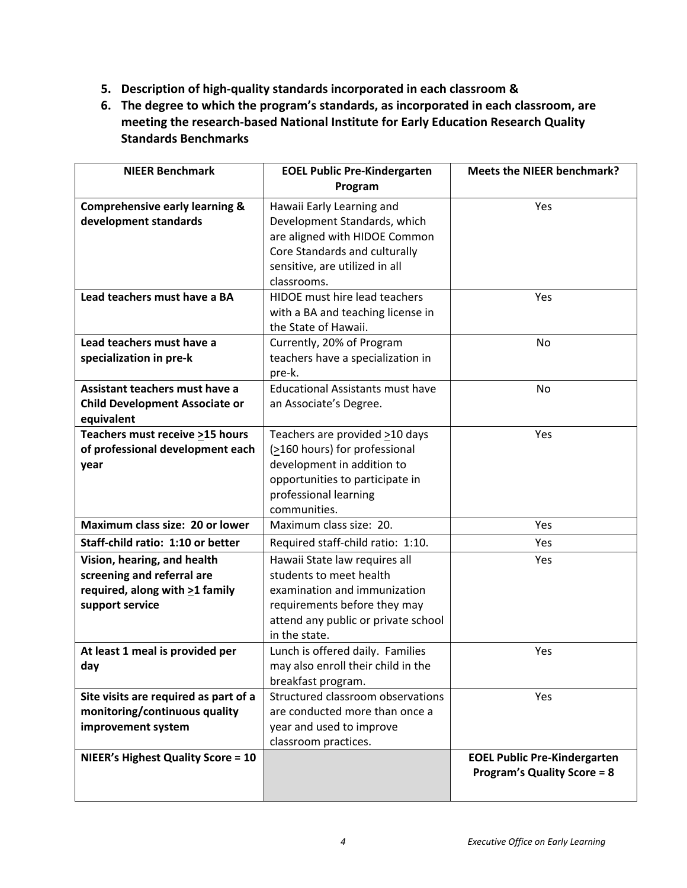- **5. Description of high‐quality standards incorporated in each classroom &**
- **6. The degree to which the program's standards, as incorporated in each classroom, are meeting the research‐based National Institute for Early Education Research Quality Standards Benchmarks**

| <b>NIEER Benchmark</b>                                                                                         | <b>EOEL Public Pre-Kindergarten</b><br>Program                                                                                                                                         | <b>Meets the NIEER benchmark?</b>                                         |
|----------------------------------------------------------------------------------------------------------------|----------------------------------------------------------------------------------------------------------------------------------------------------------------------------------------|---------------------------------------------------------------------------|
| <b>Comprehensive early learning &amp;</b><br>development standards                                             | Hawaii Early Learning and<br>Development Standards, which<br>are aligned with HIDOE Common<br>Core Standards and culturally<br>sensitive, are utilized in all<br>classrooms.           | Yes                                                                       |
| Lead teachers must have a BA                                                                                   | HIDOE must hire lead teachers<br>with a BA and teaching license in<br>the State of Hawaii.                                                                                             | Yes                                                                       |
| Lead teachers must have a<br>specialization in pre-k                                                           | Currently, 20% of Program<br>teachers have a specialization in<br>pre-k.                                                                                                               | No                                                                        |
| Assistant teachers must have a<br><b>Child Development Associate or</b><br>equivalent                          | <b>Educational Assistants must have</b><br>an Associate's Degree.                                                                                                                      | No                                                                        |
| Teachers must receive >15 hours<br>of professional development each<br>year                                    | Teachers are provided $\geq$ 10 days<br>$( \geq 160$ hours) for professional<br>development in addition to<br>opportunities to participate in<br>professional learning<br>communities. | Yes                                                                       |
| Maximum class size: 20 or lower                                                                                | Maximum class size: 20.                                                                                                                                                                | Yes                                                                       |
| Staff-child ratio: 1:10 or better                                                                              | Required staff-child ratio: 1:10.                                                                                                                                                      | Yes                                                                       |
| Vision, hearing, and health<br>screening and referral are<br>required, along with >1 family<br>support service | Hawaii State law requires all<br>students to meet health<br>examination and immunization<br>requirements before they may<br>attend any public or private school<br>in the state.       | Yes                                                                       |
| At least 1 meal is provided per<br>day                                                                         | Lunch is offered daily. Families<br>may also enroll their child in the<br>breakfast program.                                                                                           | Yes                                                                       |
| Site visits are required as part of a<br>monitoring/continuous quality<br>improvement system                   | Structured classroom observations<br>are conducted more than once a<br>year and used to improve<br>classroom practices.                                                                | Yes                                                                       |
| <b>NIEER's Highest Quality Score = 10</b>                                                                      |                                                                                                                                                                                        | <b>EOEL Public Pre-Kindergarten</b><br><b>Program's Quality Score = 8</b> |